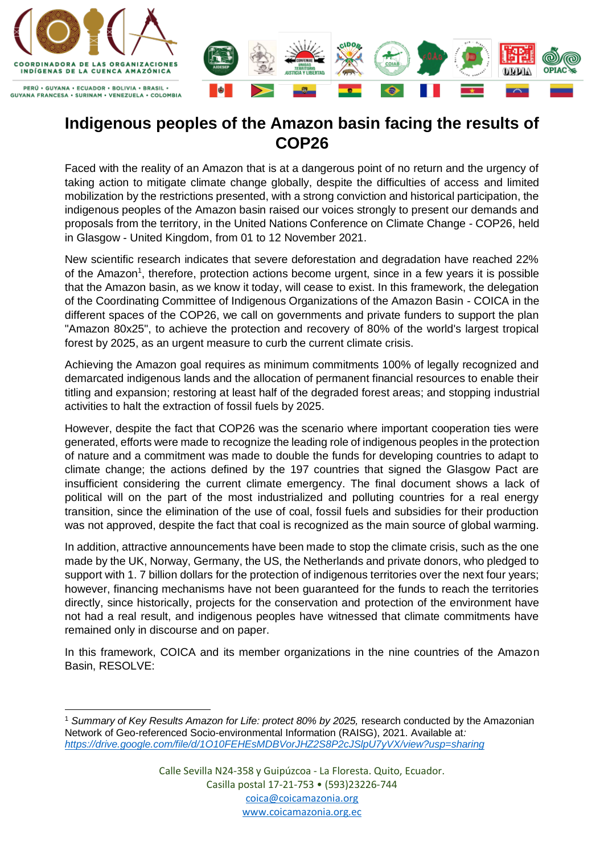

## **Indigenous peoples of the Amazon basin facing the results of COP26**

Faced with the reality of an Amazon that is at a dangerous point of no return and the urgency of taking action to mitigate climate change globally, despite the difficulties of access and limited mobilization by the restrictions presented, with a strong conviction and historical participation, the indigenous peoples of the Amazon basin raised our voices strongly to present our demands and proposals from the territory, in the United Nations Conference on Climate Change - COP26, held in Glasgow - United Kingdom, from 01 to 12 November 2021.

New scientific research indicates that severe deforestation and degradation have reached 22% of the Amazon<sup>1</sup>, therefore, protection actions become urgent, since in a few years it is possible that the Amazon basin, as we know it today, will cease to exist. In this framework, the delegation of the Coordinating Committee of Indigenous Organizations of the Amazon Basin - COICA in the different spaces of the COP26, we call on governments and private funders to support the plan "Amazon 80x25", to achieve the protection and recovery of 80% of the world's largest tropical forest by 2025, as an urgent measure to curb the current climate crisis.

Achieving the Amazon goal requires as minimum commitments 100% of legally recognized and demarcated indigenous lands and the allocation of permanent financial resources to enable their titling and expansion; restoring at least half of the degraded forest areas; and stopping industrial activities to halt the extraction of fossil fuels by 2025.

However, despite the fact that COP26 was the scenario where important cooperation ties were generated, efforts were made to recognize the leading role of indigenous peoples in the protection of nature and a commitment was made to double the funds for developing countries to adapt to climate change; the actions defined by the 197 countries that signed the Glasgow Pact are insufficient considering the current climate emergency. The final document shows a lack of political will on the part of the most industrialized and polluting countries for a real energy transition, since the elimination of the use of coal, fossil fuels and subsidies for their production was not approved, despite the fact that coal is recognized as the main source of global warming.

In addition, attractive announcements have been made to stop the climate crisis, such as the one made by the UK, Norway, Germany, the US, the Netherlands and private donors, who pledged to support with 1. 7 billion dollars for the protection of indigenous territories over the next four years; however, financing mechanisms have not been guaranteed for the funds to reach the territories directly, since historically, projects for the conservation and protection of the environment have not had a real result, and indigenous peoples have witnessed that climate commitments have remained only in discourse and on paper.

In this framework, COICA and its member organizations in the nine countries of the Amazon Basin, RESOLVE:

<sup>1</sup> *Summary of Key Results Amazon for Life: protect 80% by 2025,* research conducted by the Amazonian Network of Geo-referenced Socio-environmental Information (RAISG), 2021. Available at*: <https://drive.google.com/file/d/1O10FEHEsMDBVorJHZ2S8P2cJSlpU7yVX/view?usp=sharing>*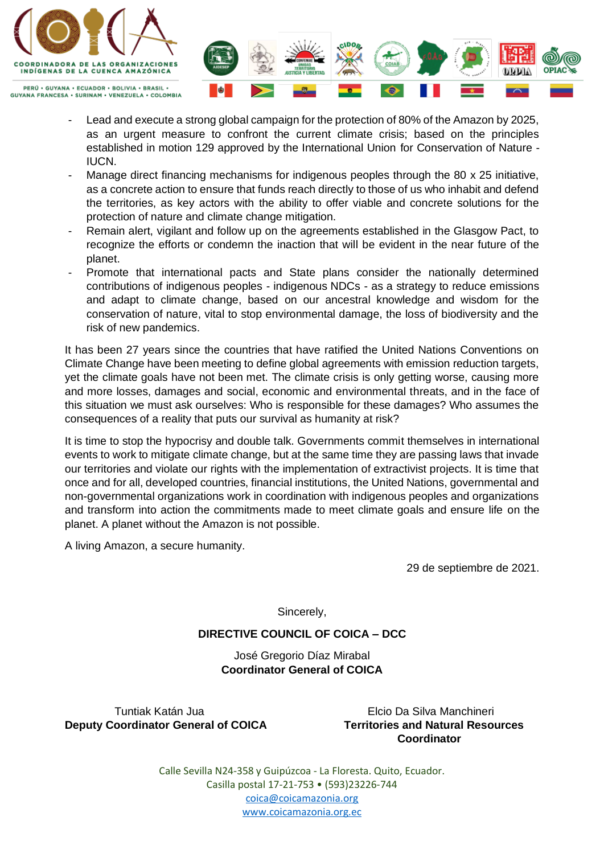

PERÚ • GUYANA • ECUADOR • BOLIVIA • BRASIL • **GUYANA FRANCESA · SURINAM · VENEZUELA · COLOMBIA** 

- Lead and execute a strong global campaign for the protection of 80% of the Amazon by 2025, as an urgent measure to confront the current climate crisis; based on the principles established in motion 129 approved by the International Union for Conservation of Nature - IUCN.
- Manage direct financing mechanisms for indigenous peoples through the 80 x 25 initiative, as a concrete action to ensure that funds reach directly to those of us who inhabit and defend the territories, as key actors with the ability to offer viable and concrete solutions for the protection of nature and climate change mitigation.
- Remain alert, vigilant and follow up on the agreements established in the Glasgow Pact, to recognize the efforts or condemn the inaction that will be evident in the near future of the planet.
- Promote that international pacts and State plans consider the nationally determined contributions of indigenous peoples - indigenous NDCs - as a strategy to reduce emissions and adapt to climate change, based on our ancestral knowledge and wisdom for the conservation of nature, vital to stop environmental damage, the loss of biodiversity and the risk of new pandemics.

It has been 27 years since the countries that have ratified the United Nations Conventions on Climate Change have been meeting to define global agreements with emission reduction targets, yet the climate goals have not been met. The climate crisis is only getting worse, causing more and more losses, damages and social, economic and environmental threats, and in the face of this situation we must ask ourselves: Who is responsible for these damages? Who assumes the consequences of a reality that puts our survival as humanity at risk?

It is time to stop the hypocrisy and double talk. Governments commit themselves in international events to work to mitigate climate change, but at the same time they are passing laws that invade our territories and violate our rights with the implementation of extractivist projects. It is time that once and for all, developed countries, financial institutions, the United Nations, governmental and non-governmental organizations work in coordination with indigenous peoples and organizations and transform into action the commitments made to meet climate goals and ensure life on the planet. A planet without the Amazon is not possible.

A living Amazon, a secure humanity.

29 de septiembre de 2021.

Sincerely,

## **DIRECTIVE COUNCIL OF COICA – DCC**

José Gregorio Díaz Mirabal **Coordinator General of COICA**

 Tuntiak Katán Jua Elcio Da Silva Manchineri **Deputy Coordinator General of COICA Territories and Natural Resources**

 **Coordinator**

Calle Sevilla N24-358 y Guipúzcoa - La Floresta. Quito, Ecuador. Casilla postal 17-21-753 • (593)23226-744 [coica@coicamazonia.org](mailto:coica@coicamazonia.org)  [www.coicamazonia.org.ec](http://www.coicamazonia.org.ec/)